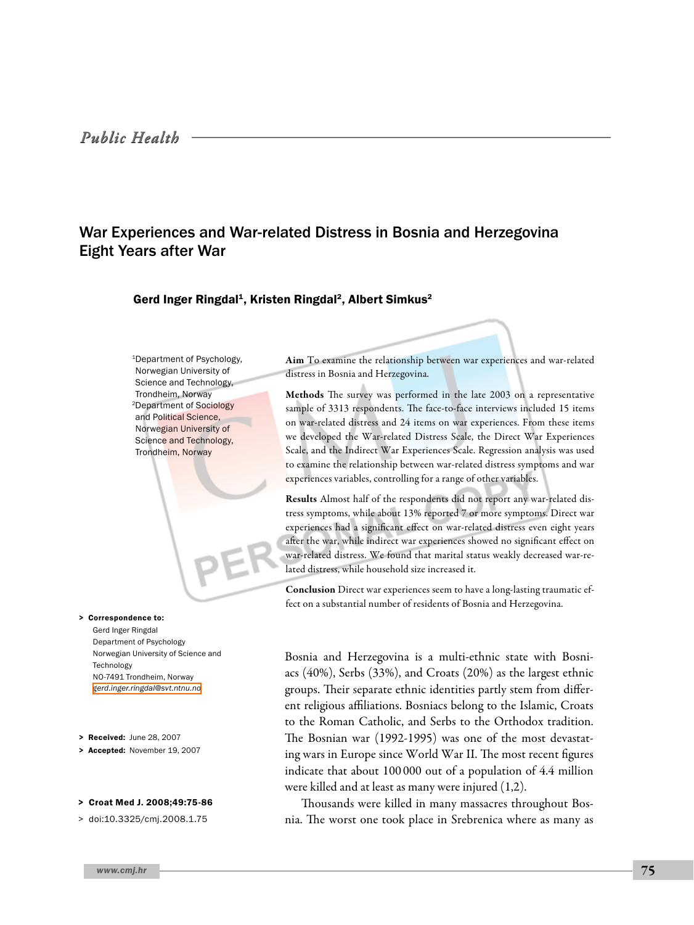# War Experiences and War-related Distress in Bosnia and Herzegovina Eight Years after War

# Gerd Inger Ringdal<sup>1</sup>, Kristen Ringdal<sup>2</sup>, Albert Simkus<sup>2</sup>

1Department of Psychology, Norwegian University of Science and Technology, Trondheim, Norway 2Department of Sociology and Political Science, Norwegian University of Science and Technology, Trondheim, Norway

> Correspondence to:

Gerd Inger Ringdal Department of Psychology Norwegian University of Science and Technology NO-7491 Trondheim, Norway *[gerd.inger.ringdal@svt.ntnu.no](mailto: gerd.inger.ringdal@svt.ntnu.no )*

> Received: June 28, 2007

> Accepted: November 19, 2007

#### > Croat Med J. 2008;49:75-86

> doi:10.3325/cmj.2008.1.75

*www.cmj.hr* 75

Aim To examine the relationship between war experiences and war-related distress in Bosnia and Herzegovina.

Methods The survey was performed in the late 2003 on a representative sample of 3313 respondents. The face-to-face interviews included 15 items on war-related distress and 24 items on war experiences. From these items we developed the War-related Distress Scale, the Direct War Experiences Scale, and the Indirect War Experiences Scale. Regression analysis was used to examine the relationship between war-related distress symptoms and war experiences variables, controlling for a range of other variables.

Results Almost half of the respondents did not report any war-related distress symptoms, while about 13% reported 7 or more symptoms. Direct war experiences had a significant effect on war-related distress even eight years after the war, while indirect war experiences showed no significant effect on war-related distress. We found that marital status weakly decreased war-related distress, while household size increased it.

Conclusion Direct war experiences seem to have a long-lasting traumatic effect on a substantial number of residents of Bosnia and Herzegovina.

Bosnia and Herzegovina is a multi-ethnic state with Bosniacs (40%), Serbs (33%), and Croats (20%) as the largest ethnic groups. Their separate ethnic identities partly stem from different religious affiliations. Bosniacs belong to the Islamic, Croats to the Roman Catholic, and Serbs to the Orthodox tradition. The Bosnian war (1992-1995) was one of the most devastating wars in Europe since World War II. The most recent figures indicate that about 100 000 out of a population of 4.4 million were killed and at least as many were injured (1,2).

Thousands were killed in many massacres throughout Bosnia. The worst one took place in Srebrenica where as many as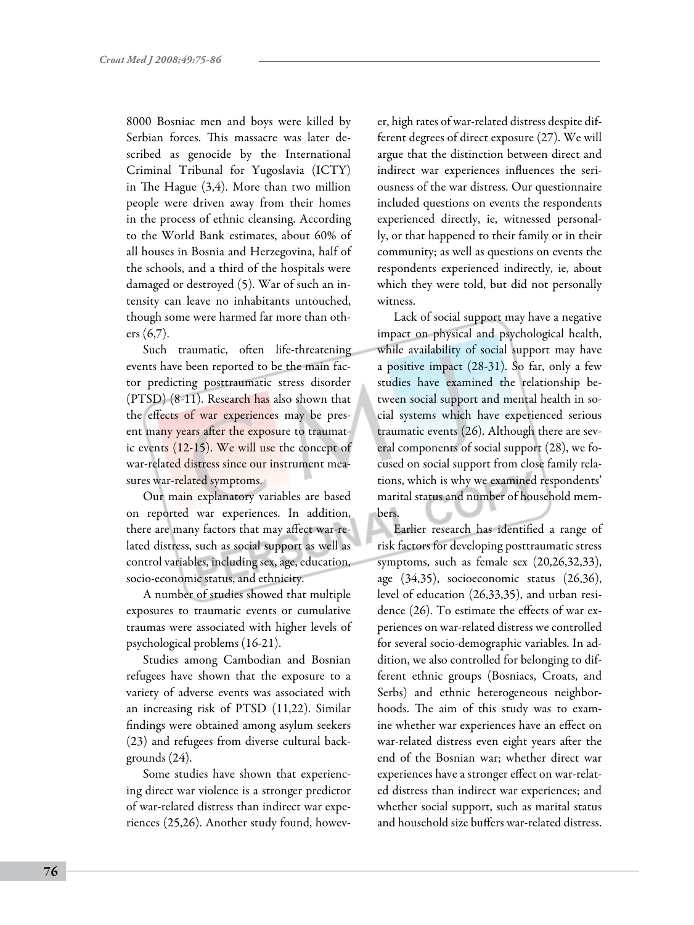8000 Bosniac men and boys were killed by Serbian forces. This massacre was later described as genocide by the International Criminal Tribunal for Yugoslavia (ICTY) in The Hague (3,4). More than two million people were driven away from their homes in the process of ethnic cleansing. According to the World Bank estimates, about 60% of all houses in Bosnia and Herzegovina, half of the schools, and a third of the hospitals were damaged or destroyed (5). War of such an intensity can leave no inhabitants untouched, though some were harmed far more than others (6,7).

Such traumatic, often life-threatening events have been reported to be the main factor predicting posttraumatic stress disorder (PTSD) (8-11). Research has also shown that the effects of war experiences may be present many years after the exposure to traumatic events (12-15). We will use the concept of war-related distress since our instrument measures war-related symptoms.

Our main explanatory variables are based on reported war experiences. In addition, there are many factors that may affect war-related distress, such as social support as well as control variables, including sex, age, education, socio-economic status, and ethnicity.

A number of studies showed that multiple exposures to traumatic events or cumulative traumas were associated with higher levels of psychological problems (16-21).

Studies among Cambodian and Bosnian refugees have shown that the exposure to a variety of adverse events was associated with an increasing risk of PTSD (11,22). Similar findings were obtained among asylum seekers (23) and refugees from diverse cultural backgrounds (24).

Some studies have shown that experiencing direct war violence is a stronger predictor of war-related distress than indirect war experiences (25,26). Another study found, however, high rates of war-related distress despite different degrees of direct exposure (27). We will argue that the distinction between direct and indirect war experiences influences the seriousness of the war distress. Our questionnaire included questions on events the respondents experienced directly, ie, witnessed personally, or that happened to their family or in their community; as well as questions on events the respondents experienced indirectly, ie, about which they were told, but did not personally witness.

Lack of social support may have a negative impact on physical and psychological health, while availability of social support may have a positive impact (28-31). So far, only a few studies have examined the relationship between social support and mental health in social systems which have experienced serious traumatic events (26). Although there are several components of social support (28), we focused on social support from close family relations, which is why we examined respondents' marital status and number of household members.

Earlier research has identified a range of risk factors for developing posttraumatic stress symptoms, such as female sex (20,26,32,33), age (34,35), socioeconomic status (26,36), level of education (26,33,35), and urban residence (26). To estimate the effects of war experiences on war-related distress we controlled for several socio-demographic variables. In addition, we also controlled for belonging to different ethnic groups (Bosniacs, Croats, and Serbs) and ethnic heterogeneous neighborhoods. The aim of this study was to examine whether war experiences have an effect on war-related distress even eight years after the end of the Bosnian war; whether direct war experiences have a stronger effect on war-related distress than indirect war experiences; and whether social support, such as marital status and household size buffers war-related distress.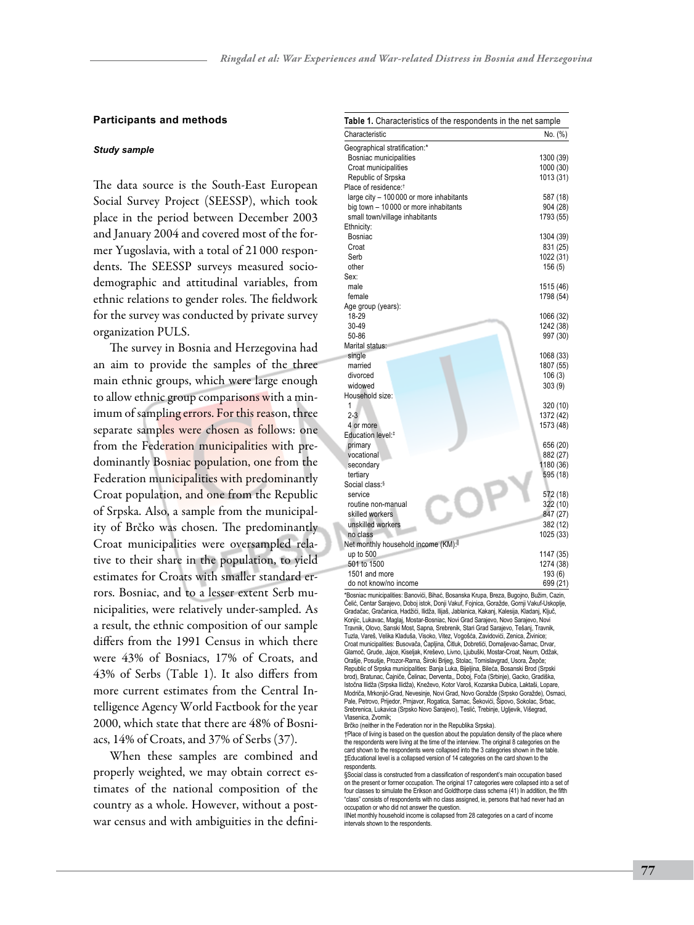#### **Participants and methods**

#### *Study sample*

The data source is the South-East European Social Survey Project (SEESSP), which took place in the period between December 2003 and January 2004 and covered most of the former Yugoslavia, with a total of 21 000 respondents. The SEESSP surveys measured sociodemographic and attitudinal variables, from ethnic relations to gender roles. The fieldwork for the survey was conducted by private survey organization PULS.

The survey in Bosnia and Herzegovina had an aim to provide the samples of the three main ethnic groups, which were large enough to allow ethnic group comparisons with a minimum of sampling errors. For this reason, three separate samples were chosen as follows: one from the Federation municipalities with predominantly Bosniac population, one from the Federation municipalities with predominantly Croat population, and one from the Republic of Srpska. Also, a sample from the municipality of Brčko was chosen. The predominantly Croat municipalities were oversampled relative to their share in the population, to yield estimates for Croats with smaller standard errors. Bosniac, and to a lesser extent Serb municipalities, were relatively under-sampled. As a result, the ethnic composition of our sample differs from the 1991 Census in which there were 43% of Bosniacs, 17% of Croats, and 43% of Serbs (Table 1). It also differs from more current estimates from the Central Intelligence Agency World Factbook for the year 2000, which state that there are 48% of Bosniacs, 14% of Croats, and 37% of Serbs (37).

When these samples are combined and properly weighted, we may obtain correct estimates of the national composition of the country as a whole. However, without a postwar census and with ambiguities in the defini-

| <b>Table 1.</b> Characteristics of the respondents in the net sample |           |
|----------------------------------------------------------------------|-----------|
| Characteristic                                                       | No. (%)   |
| Geographical stratification:*                                        |           |
| Bosniac municipalities                                               | 1300 (39) |
| Croat municipalities                                                 | 1000 (30) |
| Republic of Srpska                                                   | 1013 (31) |
| Place of residence: <sup>†</sup>                                     |           |
| large city - 100 000 or more inhabitants                             | 587 (18)  |
| big town - 10 000 or more inhabitants                                | 904 (28)  |
| small town/village inhabitants                                       | 1793 (55) |
| Ethnicity:                                                           |           |
| Bosniac                                                              | 1304 (39) |
| Croat                                                                | 831 (25)  |
| Serb                                                                 | 1022 (31) |
| other                                                                | 156(5)    |
| Sex:                                                                 |           |
| male                                                                 | 1515 (46) |
| female                                                               | 1798 (54) |
| Age group (years):                                                   |           |
| 18-29                                                                | 1066 (32) |
| 30-49                                                                | 1242 (38) |
| 50-86                                                                | 997 (30)  |
| Marital status:                                                      |           |
| single                                                               | 1068 (33) |
| married                                                              | 1807 (55) |
| divorced                                                             | 106(3)    |
| widowed                                                              | 303(9)    |
| Household size:                                                      |           |
| 1                                                                    | 320 (10)  |
| $2 - 3$                                                              | 1372 (42) |
| 4 or more                                                            | 1573 (48) |
| Education level: <sup>#</sup>                                        |           |
| primary                                                              | 656 (20)  |
| vocational                                                           | 882 (27)  |
| secondary                                                            | 1180 (36) |
| tertiary                                                             | 595 (18)  |
| Social class: <sup>§</sup>                                           |           |
| service                                                              | 572 (18)  |
| routine non-manual                                                   | 322 (10)  |
| skilled workers                                                      | 847 (27)  |
| unskilled workers                                                    | 382 (12)  |
| no class                                                             | 1025 (33) |
| Net monthly household income (KM):                                   |           |
| up to 500                                                            | 1147 (35) |
| 501 to 1500                                                          | 1274 (38) |
| 1501 and more                                                        | 193 (6)   |
| do not know/no income                                                | 699 (21)  |

\*Bosniac municipalities: Banovići, Bihać, Bosanska Krupa, Breza, Bugojno, Bužim, Cazin, Čelić, Centar Sarajevo, Doboj istok, Donji Vakuf, Fojnica, Goražde, Gornji Vakuf-Uskoplje, Gradačac, Gračanica, Hadžići, Ilidža, Ilijaš, Jablanica, Kakanj, Kalesija, Kladanj, Ključ, Konjic, Lukavac, Maglaj, Mostar-Bosniac, Novi Grad Sarajevo, Novo Sarajevo, Novi Travnik, Olovo, Sanski Most, Sapna, Srebrenik, Stari Grad Sarajevo, Tešanj, Travnik, Tuzla, Vareš, Velika Kladuša, Visoko, Vitez, Vogošća, Zavidovići, Zenica, Živinice; Croat municipalities: Busovača, Čapljina, Čitluk, Dobretići, Domaljevac-Šamac, Drvar, Glamoč, Grude, Jajce, Kiseljak, Kreševo, Livno, Ljubuški, Mostar-Croat, Neum, Odžak, Orašje, Posušje, Prozor-Rama, Široki Brijeg, Stolac, Tomislavgrad, Usora, Žepče; Republic of Srpska municipalities: Banja Luka, Bijeljina, Bileća, Bosanski Brod (Srpski brod), Bratunac, Čajniče, Čelinac, Derventa,, Doboj, Foča (Srbinje), Gacko, Gradiška, Istočna Ilidža (Srpska Ilidža), Kneževo, Kotor Varoš, Kozarska Dubica, Laktaši, Lopare, Modriča, Mrkonjić-Grad, Nevesinje, Novi Grad, Novo Goražde (Srpsko Goražde), Osmaci, Pale, Petrovo, Prijedor, Prnjavor, Rogatica, Samac, Šekovići, Šipovo, Sokolac, Srbac, Srebrenica, Lukavica (Srpsko Novo Sarajevo), Teslić, Trebinje, Ugljevik, Višegrad, Vlasenica, Zvornik;

Brčko (neither in the Federation nor in the Republika Srpska).

†Place of living is based on the question about the population density of the place where the respondents were living at the time of the interview. The original 8 categories on the card shown to the respondents were collapsed into the 3 categories shown in the table. ‡Educational level is a collapsed version of 14 categories on the card shown to the **respondents** 

§Social class is constructed from a classification of respondent's main occupation based on the present or former occupation. The original 17 categories were collapsed into a set of four classes to simulate the Erikson and Goldthorpe class schema (41) In addition, the fifth "class" consists of respondents with no class assigned, ie, persons that had never had an occupation or who did not answer the question.

IINet monthly household income is collapsed from 28 categories on a card of income intervals shown to the respondents.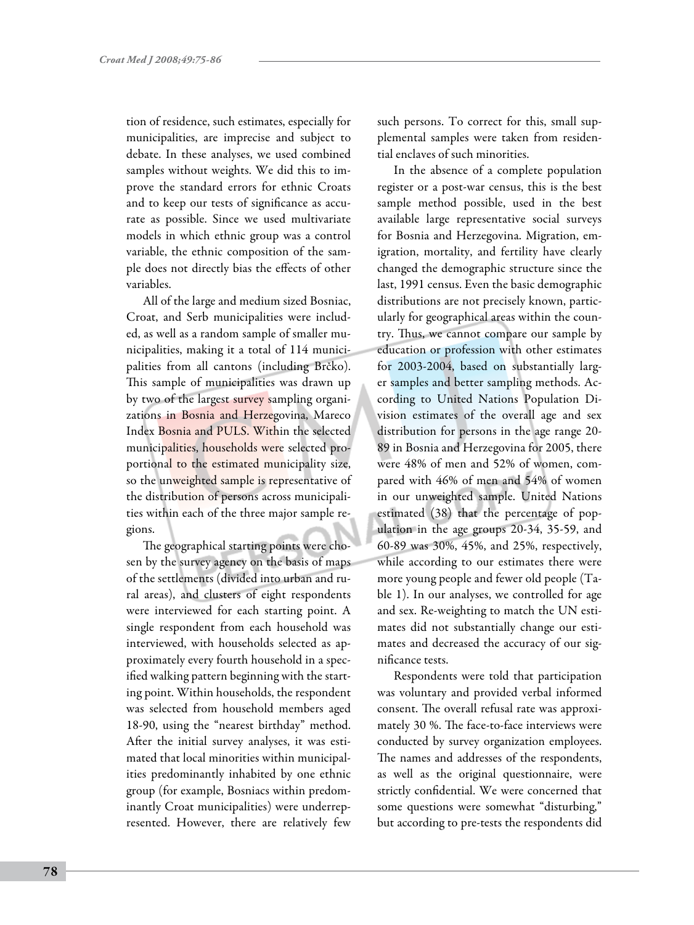tion of residence, such estimates, especially for municipalities, are imprecise and subject to debate. In these analyses, we used combined samples without weights. We did this to improve the standard errors for ethnic Croats and to keep our tests of significance as accurate as possible. Since we used multivariate models in which ethnic group was a control variable, the ethnic composition of the sample does not directly bias the effects of other variables.

All of the large and medium sized Bosniac, Croat, and Serb municipalities were included, as well as a random sample of smaller municipalities, making it a total of 114 municipalities from all cantons (including Brčko). This sample of municipalities was drawn up by two of the largest survey sampling organizations in Bosnia and Herzegovina, Mareco Index Bosnia and PULS. Within the selected municipalities, households were selected proportional to the estimated municipality size, so the unweighted sample is representative of the distribution of persons across municipalities within each of the three major sample regions.

The geographical starting points were chosen by the survey agency on the basis of maps of the settlements (divided into urban and rural areas), and clusters of eight respondents were interviewed for each starting point. A single respondent from each household was interviewed, with households selected as approximately every fourth household in a specified walking pattern beginning with the starting point. Within households, the respondent was selected from household members aged 18-90, using the "nearest birthday" method. After the initial survey analyses, it was estimated that local minorities within municipalities predominantly inhabited by one ethnic group (for example, Bosniacs within predominantly Croat municipalities) were underrepresented. However, there are relatively few

such persons. To correct for this, small supplemental samples were taken from residential enclaves of such minorities.

In the absence of a complete population register or a post-war census, this is the best sample method possible, used in the best available large representative social surveys for Bosnia and Herzegovina. Migration, emigration, mortality, and fertility have clearly changed the demographic structure since the last, 1991 census. Even the basic demographic distributions are not precisely known, particularly for geographical areas within the country. Thus, we cannot compare our sample by education or profession with other estimates for 2003-2004, based on substantially larger samples and better sampling methods. According to United Nations Population Division estimates of the overall age and sex distribution for persons in the age range 20- 89 in Bosnia and Herzegovina for 2005, there were 48% of men and 52% of women, compared with 46% of men and 54% of women in our unweighted sample. United Nations estimated (38) that the percentage of population in the age groups 20-34, 35-59, and 60-89 was 30%, 45%, and 25%, respectively, while according to our estimates there were more young people and fewer old people (Table 1). In our analyses, we controlled for age and sex. Re-weighting to match the UN estimates did not substantially change our estimates and decreased the accuracy of our significance tests.

Respondents were told that participation was voluntary and provided verbal informed consent. The overall refusal rate was approximately 30 %. The face-to-face interviews were conducted by survey organization employees. The names and addresses of the respondents, as well as the original questionnaire, were strictly confidential. We were concerned that some questions were somewhat "disturbing," but according to pre-tests the respondents did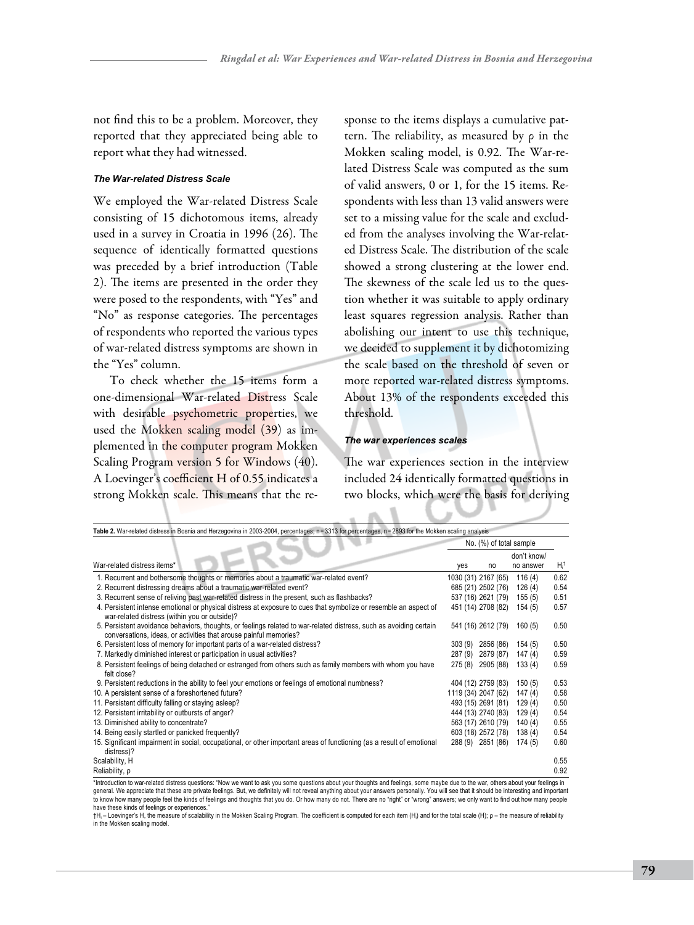not find this to be a problem. Moreover, they reported that they appreciated being able to report what they had witnessed.

### *The War-related Distress Scale*

We employed the War-related Distress Scale consisting of 15 dichotomous items, already used in a survey in Croatia in 1996 (26). The sequence of identically formatted questions was preceded by a brief introduction (Table 2). The items are presented in the order they were posed to the respondents, with "Yes" and "No" as response categories. The percentages of respondents who reported the various types of war-related distress symptoms are shown in the "Yes" column.

To check whether the 15 items form a one-dimensional War-related Distress Scale with desirable psychometric properties, we used the Mokken scaling model (39) as implemented in the computer program Mokken Scaling Program version 5 for Windows (40). A Loevinger's coefficient H of 0.55 indicates a strong Mokken scale. This means that the response to the items displays a cumulative pattern. The reliability, as measured by ρ in the Mokken scaling model, is 0.92. The War-related Distress Scale was computed as the sum of valid answers, 0 or 1, for the 15 items. Respondents with less than 13 valid answers were set to a missing value for the scale and excluded from the analyses involving the War-related Distress Scale. The distribution of the scale showed a strong clustering at the lower end. The skewness of the scale led us to the question whether it was suitable to apply ordinary least squares regression analysis. Rather than abolishing our intent to use this technique, we decided to supplement it by dichotomizing the scale based on the threshold of seven or more reported war-related distress symptoms. About 13% of the respondents exceeded this threshold.

#### *The war experiences scales*

The war experiences section in the interview included 24 identically formatted questions in two blocks, which were the basis for deriving

| Table 2. War-related distress in Bosnia and Herzegovina in 2003-2004, percentages; n = 3313 for percentages, n = 2893 for the Mokken scaling analysis                                   |        |                         |                          |         |  |
|-----------------------------------------------------------------------------------------------------------------------------------------------------------------------------------------|--------|-------------------------|--------------------------|---------|--|
|                                                                                                                                                                                         |        | No. (%) of total sample |                          |         |  |
| War-related distress items*                                                                                                                                                             | yes    | no                      | don't know/<br>no answer | $H_i^+$ |  |
| 1. Recurrent and bothersome thoughts or memories about a traumatic war-related event?                                                                                                   |        | 1030 (31) 2167 (65)     | 116(4)                   | 0.62    |  |
| 2. Recurrent distressing dreams about a traumatic war-related event?                                                                                                                    |        | 685 (21) 2502 (76)      | 126(4)                   | 0.54    |  |
| 3. Recurrent sense of reliving past war-related distress in the present, such as flashbacks?                                                                                            |        | 537 (16) 2621 (79)      | 155(5)                   | 0.51    |  |
| 4. Persistent intense emotional or physical distress at exposure to cues that symbolize or resemble an aspect of<br>war-related distress (within you or outside)?                       |        | 451 (14) 2708 (82)      | 154(5)                   | 0.57    |  |
| 5. Persistent avoidance behaviors, thoughts, or feelings related to war-related distress, such as avoiding certain<br>conversations, ideas, or activities that arouse painful memories? |        | 541 (16) 2612 (79)      | 160(5)                   | 0.50    |  |
| 6. Persistent loss of memory for important parts of a war-related distress?                                                                                                             | 303(9) | 2856 (86)               | 154(5)                   | 0.50    |  |
| 7. Markedly diminished interest or participation in usual activities?                                                                                                                   | 287(9) | 2879 (87)               | 147(4)                   | 0.59    |  |
| 8. Persistent feelings of being detached or estranged from others such as family members with whom you have<br>felt close?                                                              | 275(8) | 2905 (88)               | 133(4)                   | 0.59    |  |
| 9. Persistent reductions in the ability to feel your emotions or feelings of emotional numbness?                                                                                        |        | 404 (12) 2759 (83)      | 150(5)                   | 0.53    |  |
| 10. A persistent sense of a foreshortened future?                                                                                                                                       |        | 1119 (34) 2047 (62)     | 147(4)                   | 0.58    |  |
| 11. Persistent difficulty falling or staying asleep?                                                                                                                                    |        | 493 (15) 2691 (81)      | 129(4)                   | 0.50    |  |
| 12. Persistent irritability or outbursts of anger?                                                                                                                                      |        | 444 (13) 2740 (83)      | 129(4)                   | 0.54    |  |
| 13. Diminished ability to concentrate?                                                                                                                                                  |        | 563 (17) 2610 (79)      | 140(4)                   | 0.55    |  |
| 14. Being easily startled or panicked frequently?                                                                                                                                       |        | 603 (18) 2572 (78)      | 138(4)                   | 0.54    |  |
| 15. Significant impairment in social, occupational, or other important areas of functioning (as a result of emotional<br>distress)?                                                     |        | 288 (9) 2851 (86)       | 174(5)                   | 0.60    |  |
| Scalability, H                                                                                                                                                                          |        |                         |                          | 0.55    |  |
| Reliability, p                                                                                                                                                                          |        |                         |                          | 0.92    |  |

\*Introduction to war-related distress questions: \*Now we want to ask you some questions about your thoughts and feelings, some maybe due to the war, others about your feelings in<br>general. We appreciate that these are priva have these kinds of feelings or experiences.

†H, – Loevinger's H, the measure of scalability in the Mokken Scaling Program. The coefficient is computed for each item (H,) and for the total scale (H); ρ – the measure of reliability<br>in the Mokken scaling model.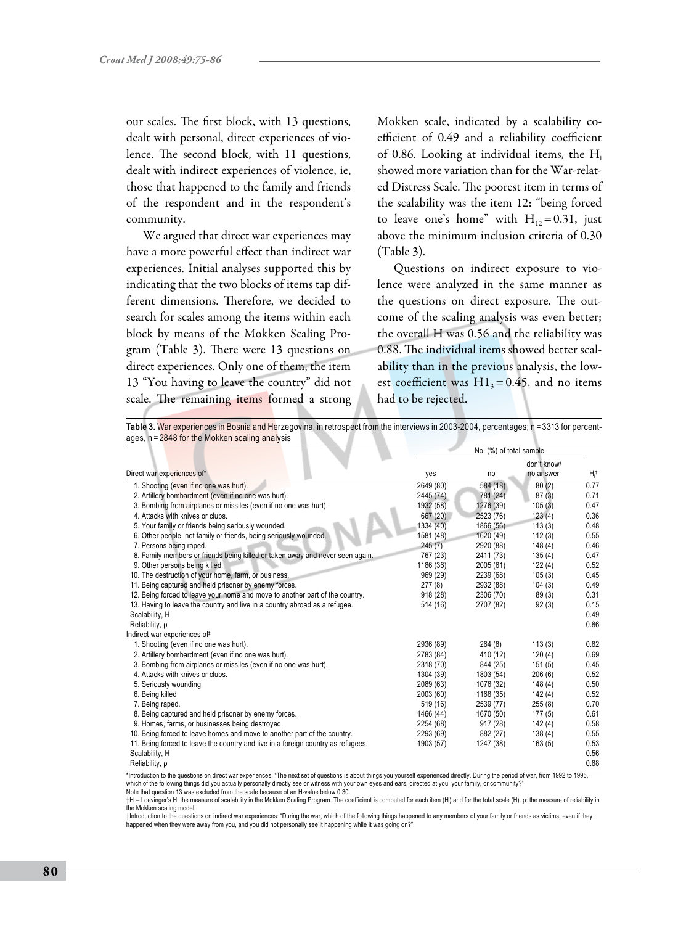our scales. The first block, with 13 questions, dealt with personal, direct experiences of violence. The second block, with 11 questions, dealt with indirect experiences of violence, ie, those that happened to the family and friends of the respondent and in the respondent's community.

We argued that direct war experiences may have a more powerful effect than indirect war experiences. Initial analyses supported this by indicating that the two blocks of items tap different dimensions. Therefore, we decided to search for scales among the items within each block by means of the Mokken Scaling Program (Table 3). There were 13 questions on direct experiences. Only one of them, the item 13 "You having to leave the country" did not scale. The remaining items formed a strong Mokken scale, indicated by a scalability coefficient of 0.49 and a reliability coefficient of 0.86. Looking at individual items, the Hi showed more variation than for the War-related Distress Scale. The poorest item in terms of the scalability was the item 12: "being forced to leave one's home" with  $H_{12}=0.31$ , just above the minimum inclusion criteria of 0.30 (Table 3).

Questions on indirect exposure to violence were analyzed in the same manner as the questions on direct exposure. The outcome of the scaling analysis was even better; the overall H was 0.56 and the reliability was 0.88. The individual items showed better scalability than in the previous analysis, the lowest coefficient was  $H1_3=0.45$ , and no items had to be rejected.

Table 3. War experiences in Bosnia and Herzegovina, in retrospect from the interviews in 2003-2004, percentages; n = 3313 for percentages, n = 2848 for the Mokken scaling analysis

|                                                                                                                                                                                      | No. (%) of total sample |           |             |      |
|--------------------------------------------------------------------------------------------------------------------------------------------------------------------------------------|-------------------------|-----------|-------------|------|
|                                                                                                                                                                                      |                         |           | don't know/ |      |
| Direct war experiences of*                                                                                                                                                           | yes                     | no        | no answer   | Ηt   |
| 1. Shooting (even if no one was hurt).                                                                                                                                               | 2649 (80)               | 584 (18)  | 80(2)       | 0.77 |
| 2. Artillery bombardment (even if no one was hurt).                                                                                                                                  | 2445 (74)               | 781 (24)  | 87(3)       | 0.71 |
| 3. Bombing from airplanes or missiles (even if no one was hurt).                                                                                                                     | 1932 (58)               | 1276 (39) | 105(3)      | 0.47 |
| 4. Attacks with knives or clubs.                                                                                                                                                     | 667 (20)                | 2523 (76) | 123(4)      | 0.36 |
| 5. Your family or friends being seriously wounded.                                                                                                                                   | 1334 (40)               | 1866 (56) | 113(3)      | 0.48 |
| 6. Other people, not family or friends, being seriously wounded.                                                                                                                     | 1581 (48)               | 1620 (49) | 112(3)      | 0.55 |
| 7. Persons being raped.                                                                                                                                                              | 245(7)                  | 2920 (88) | 148(4)      | 0.46 |
| 8. Family members or friends being killed or taken away and never seen again.                                                                                                        | 767 (23)                | 2411 (73) | 135(4)      | 0.47 |
| 9. Other persons being killed.                                                                                                                                                       | 1186 (36)               | 2005(61)  | 122(4)      | 0.52 |
| 10. The destruction of your home, farm, or business.                                                                                                                                 | 969 (29)                | 2239 (68) | 105(3)      | 0.45 |
| 11. Being captured and held prisoner by enemy forces.                                                                                                                                | 277(8)                  | 2932 (88) | 104(3)      | 0.49 |
| 12. Being forced to leave your home and move to another part of the country.                                                                                                         | 918 (28)                | 2306 (70) | 89(3)       | 0.31 |
| 13. Having to leave the country and live in a country abroad as a refugee.                                                                                                           | 514 (16)                | 2707 (82) | 92(3)       | 0.15 |
| Scalability, H                                                                                                                                                                       |                         |           |             | 0.49 |
| Reliability, p                                                                                                                                                                       |                         |           |             | 0.86 |
| Indirect war experiences of <sup>#</sup>                                                                                                                                             |                         |           |             |      |
| 1. Shooting (even if no one was hurt).                                                                                                                                               | 2936 (89)               | 264(8)    | 113(3)      | 0.82 |
| 2. Artillery bombardment (even if no one was hurt).                                                                                                                                  | 2783 (84)               | 410 (12)  | 120(4)      | 0.69 |
| 3. Bombing from airplanes or missiles (even if no one was hurt).                                                                                                                     | 2318 (70)               | 844 (25)  | 151(5)      | 0.45 |
| 4. Attacks with knives or clubs.                                                                                                                                                     | 1304 (39)               | 1803 (54) | 206(6)      | 0.52 |
| 5. Seriously wounding.                                                                                                                                                               | 2089 (63)               | 1076 (32) | 148(4)      | 0.50 |
| 6. Being killed                                                                                                                                                                      | 2003 (60)               | 1168 (35) | 142 (4)     | 0.52 |
| 7. Being raped.                                                                                                                                                                      | 519 (16)                | 2539 (77) | 255(8)      | 0.70 |
| 8. Being captured and held prisoner by enemy forces.                                                                                                                                 | 1466 (44)               | 1670 (50) | 177(5)      | 0.61 |
| 9. Homes, farms, or businesses being destroyed.                                                                                                                                      | 2254 (68)               | 917 (28)  | 142(4)      | 0.58 |
| 10. Being forced to leave homes and move to another part of the country.                                                                                                             | 2293 (69)               | 882 (27)  | 138(4)      | 0.55 |
| 11. Being forced to leave the country and live in a foreign country as refugees.                                                                                                     | 1903 (57)               | 1247 (38) | 163(5)      | 0.53 |
| Scalability, H                                                                                                                                                                       |                         |           |             | 0.56 |
| Reliability, p                                                                                                                                                                       |                         |           |             | 0.88 |
| *Introduction to the questions on direct war experiences: "The next set of questions is about things vou vourself experienced directly. During the period of war. from 1992 to 1995. |                         |           |             |      |

\*Introduction to the questions on direct war experiences: "The next set of questions is about things you yourself experienced directly. During the period of war, from 1992 to 1995,<br>which of the following things did you act

Note that question 13 was excluded from the scale because of an H-value below 0.30.

†H<sub>i</sub> – Loevinger's H, the measure of scalability in the Mokken Scaling Program. The coefficient is computed for each item (H) and for the total scale (H). ρ: the measure of reliability in the Mokken scaling model.

‡Introduction to the questions on indirect war experiences: "During the war, which of the following things happened to any members of your family or friends as victims, even if they happened when they were away from you, and you did not personally see it happening while it was going on?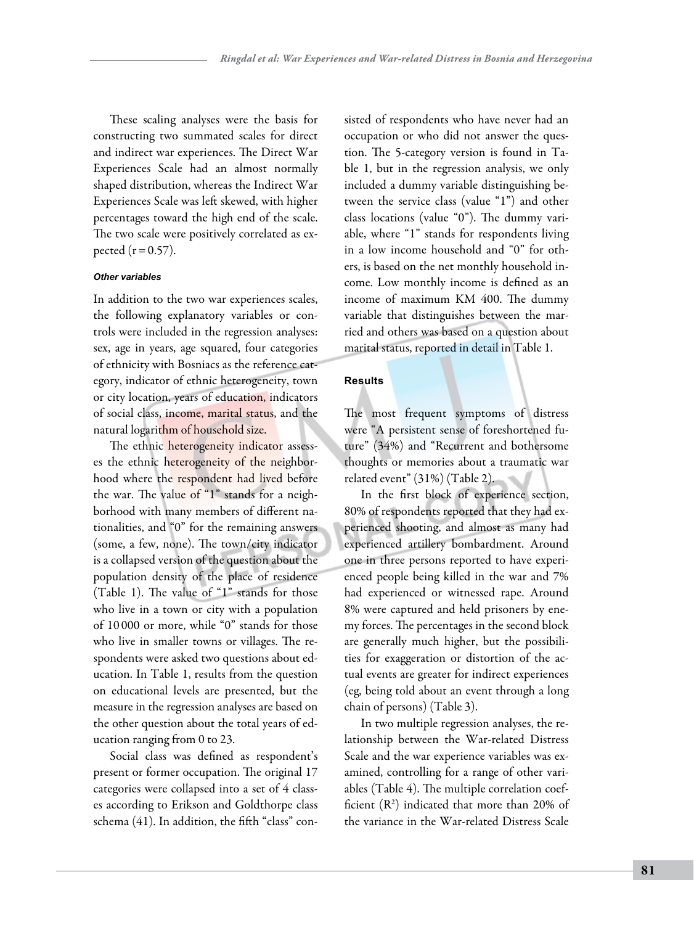These scaling analyses were the basis for constructing two summated scales for direct and indirect war experiences. The Direct War Experiences Scale had an almost normally shaped distribution, whereas the Indirect War Experiences Scale was left skewed, with higher percentages toward the high end of the scale. The two scale were positively correlated as expected  $(r = 0.57)$ .

#### *Other variables*

In addition to the two war experiences scales, the following explanatory variables or controls were included in the regression analyses: sex, age in years, age squared, four categories of ethnicity with Bosniacs as the reference category, indicator of ethnic heterogeneity, town or city location, years of education, indicators of social class, income, marital status, and the natural logarithm of household size.

The ethnic heterogeneity indicator assesses the ethnic heterogeneity of the neighborhood where the respondent had lived before the war. The value of "1" stands for a neighborhood with many members of different nationalities, and "0" for the remaining answers (some, a few, none). The town/city indicator is a collapsed version of the question about the population density of the place of residence (Table 1). The value of "1" stands for those who live in a town or city with a population of 10 000 or more, while "0" stands for those who live in smaller towns or villages. The respondents were asked two questions about education. In Table 1, results from the question on educational levels are presented, but the measure in the regression analyses are based on the other question about the total years of education ranging from 0 to 23.

Social class was defined as respondent's present or former occupation. The original 17 categories were collapsed into a set of 4 classes according to Erikson and Goldthorpe class schema (41). In addition, the fifth "class" consisted of respondents who have never had an occupation or who did not answer the question. The 5-category version is found in Table 1, but in the regression analysis, we only included a dummy variable distinguishing between the service class (value "1") and other class locations (value "0"). The dummy variable, where "1" stands for respondents living in a low income household and "0" for others, is based on the net monthly household income. Low monthly income is defined as an income of maximum KM 400. The dummy variable that distinguishes between the married and others was based on a question about marital status, reported in detail in Table 1.

# **Results**

The most frequent symptoms of distress were "A persistent sense of foreshortened future" (34%) and "Recurrent and bothersome thoughts or memories about a traumatic war related event" (31%) (Table 2).

In the first block of experience section, 80% of respondents reported that they had experienced shooting, and almost as many had experienced artillery bombardment. Around one in three persons reported to have experienced people being killed in the war and 7% had experienced or witnessed rape. Around 8% were captured and held prisoners by enemy forces. The percentages in the second block are generally much higher, but the possibilities for exaggeration or distortion of the actual events are greater for indirect experiences (eg, being told about an event through a long chain of persons) (Table 3).

In two multiple regression analyses, the relationship between the War-related Distress Scale and the war experience variables was examined, controlling for a range of other variables (Table 4). The multiple correlation coefficient  $(R^2)$  indicated that more than 20% of the variance in the War-related Distress Scale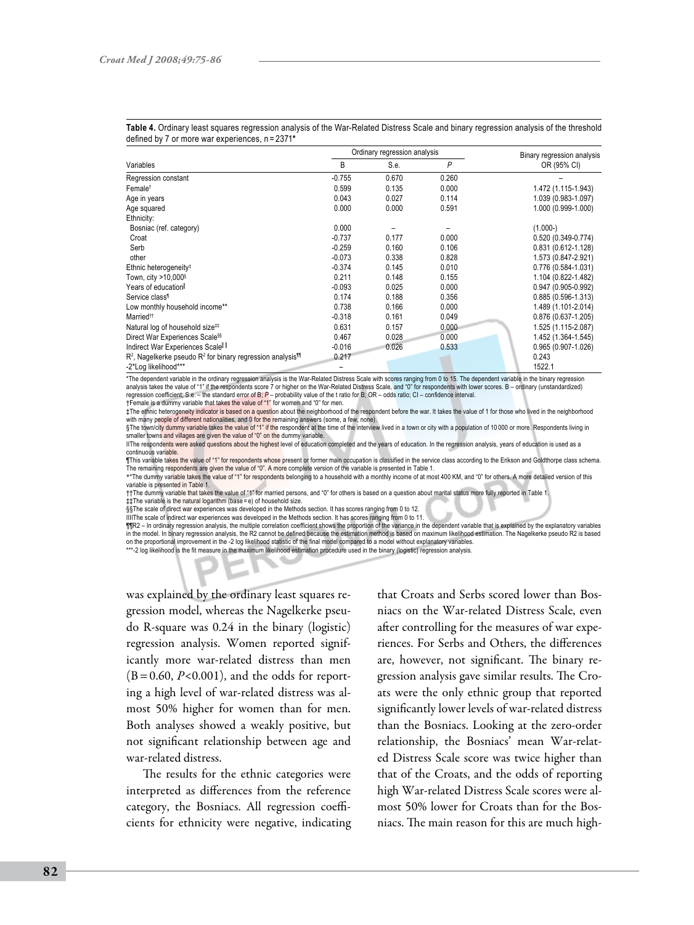|                                                                            | Ordinary regression analysis |       |       | Binary regression analysis |
|----------------------------------------------------------------------------|------------------------------|-------|-------|----------------------------|
| Variables                                                                  | B                            | S.e.  | P     | OR (95% CI)                |
| Regression constant                                                        | $-0.755$                     | 0.670 | 0.260 |                            |
| Female <sup>†</sup>                                                        | 0.599                        | 0.135 | 0.000 | 1.472 (1.115-1.943)        |
| Age in years                                                               | 0.043                        | 0.027 | 0.114 | 1.039 (0.983-1.097)        |
| Age squared                                                                | 0.000                        | 0.000 | 0.591 | 1.000 (0.999-1.000)        |
| Ethnicity:                                                                 |                              |       |       |                            |
| Bosniac (ref. category)                                                    | 0.000                        |       |       | $(1.000-)$                 |
| Croat                                                                      | $-0.737$                     | 0.177 | 0.000 | 0.520 (0.349-0.774)        |
| Serb                                                                       | $-0.259$                     | 0.160 | 0.106 | 0.831 (0.612-1.128)        |
| other                                                                      | $-0.073$                     | 0.338 | 0.828 | 1.573 (0.847-2.921)        |
| Ethnic heterogeneity <sup>#</sup>                                          | $-0.374$                     | 0.145 | 0.010 | 0.776 (0.584-1.031)        |
| Town, city >10,000§                                                        | 0.211                        | 0.148 | 0.155 | 1.104 (0.822-1.482)        |
| Years of education                                                         | $-0.093$                     | 0.025 | 0.000 | 0.947 (0.905-0.992)        |
| Service class <sup>1</sup>                                                 | 0.174                        | 0.188 | 0.356 | $0.885(0.596 - 1.313)$     |
| Low monthly household income**                                             | 0.738                        | 0.166 | 0.000 | 1.489 (1.101-2.014)        |
| Married <sup>tt</sup>                                                      | $-0.318$                     | 0.161 | 0.049 | 0.876 (0.637-1.205)        |
| Natural log of household size##                                            | 0.631                        | 0.157 | 0.000 | 1.525 (1.115-2.087)        |
| Direct War Experiences Scale <sup>§§</sup>                                 | 0.467                        | 0.028 | 0.000 | 1.452 (1.364-1.545)        |
| Indirect War Experiences Scale II                                          | $-0.016$                     | 0.026 | 0.533 | $0.965(0.907 - 1.026)$     |
| $R2$ , Nagelkerke pseudo $R2$ for binary regression analysis <sup>11</sup> | 0.217                        |       |       | 0.243                      |
| -2*Log likelihood***                                                       |                              |       |       | 1522.1                     |

**Table 4.** Ordinary least squares regression analysis of the War-Related Distress Scale and binary regression analysis of the threshold defined by 7 or more war experiences, n = 2371**\***

\*The dependent variable in the ordinary regression analysis is the War-Related Distress Scale with scores ranging from 0 to 15. The dependent variable in the binary regression analysis takes the value of "1" if the respondents score 7 or higher on the War-Related Distress Scale, and "0" for respondents with lower scores. B – ordinary (unstandardized) regression coefficient; S.e. – the standard error of B; *P* – probability value of the t ratio for B; OR – odds ratio; CI – confidence interval. †Female is a dummy variable that takes the value of "1" for women and "0" for men.

‡The ethnic heterogeneity indicator is based on a question about the neighborhood of the respondent before the war. It takes the value of 1 for those who lived in the neighborhood with many people of different nationalities, and 0 for the remaining answers (some, a few, none).

§The town/city dummy variable takes the value of "1" if the respondent at the time of the interview lived in a town or city with a population of 10 000 or more. Respondents living in smaller towns and villages are given the value of "0" on the dummy variable.

IIThe respondents were asked questions about the highest level of education completed and the years of education. In the regression analysis, years of education is used as a continuous variable.

¶This variable takes the value of "1" for respondents whose present or former main occupation is classified in the service class according to the Erikson and Goldthorpe class schema. The remaining respondents are given the value of "0". A more complete version of the variable is presented in Table 1.

\*\*The dummy variable takes the value of "1" for respondents belonging to a household with a monthly income of at most 400 KM, and "0" for others. A more detailed version of this variable is presented in Table 1.

††The dummy variable that takes the value of "1" for married persons, and "0" for others is based on a question about marital status more fully reported in Table 1.

‡‡The variable is the natural logarithm (base = e) of household size.

§§The scale of direct war experiences was developed in the Methods section. It has scores ranging from 0 to 12.

IIIIThe scale of indirect war experiences was developed in the Methods section. It has scores ranging from 0 to 11.

¶¶R2 – In ordinary regression analysis, the multiple correlation coefficient shows the proportion of the variance in the dependent variable that is explained by the explanatory variables in the model. In binary regression analysis, the R2 cannot be defined because the estimation method is based on maximum likelihood estimation. The Nagelkerke pseudo R2 is based on the proportional improvement in the -2 log likelihood statistic of the final model compared to a model without explanatory variables.

\*\*\*-2 log likelihood is the fit measure in the maximum likelihood estimation procedure used in the binary (logistic) regression analysis

was explained by the ordinary least squares regression model, whereas the Nagelkerke pseudo R-square was 0.24 in the binary (logistic) regression analysis. Women reported significantly more war-related distress than men  $(B=0.60, P<0.001)$ , and the odds for reporting a high level of war-related distress was almost 50% higher for women than for men. Both analyses showed a weakly positive, but not significant relationship between age and war-related distress.

The results for the ethnic categories were interpreted as differences from the reference category, the Bosniacs. All regression coefficients for ethnicity were negative, indicating

that Croats and Serbs scored lower than Bosniacs on the War-related Distress Scale, even after controlling for the measures of war experiences. For Serbs and Others, the differences are, however, not significant. The binary regression analysis gave similar results. The Croats were the only ethnic group that reported significantly lower levels of war-related distress than the Bosniacs. Looking at the zero-order relationship, the Bosniacs' mean War-related Distress Scale score was twice higher than that of the Croats, and the odds of reporting high War-related Distress Scale scores were almost 50% lower for Croats than for the Bosniacs. The main reason for this are much high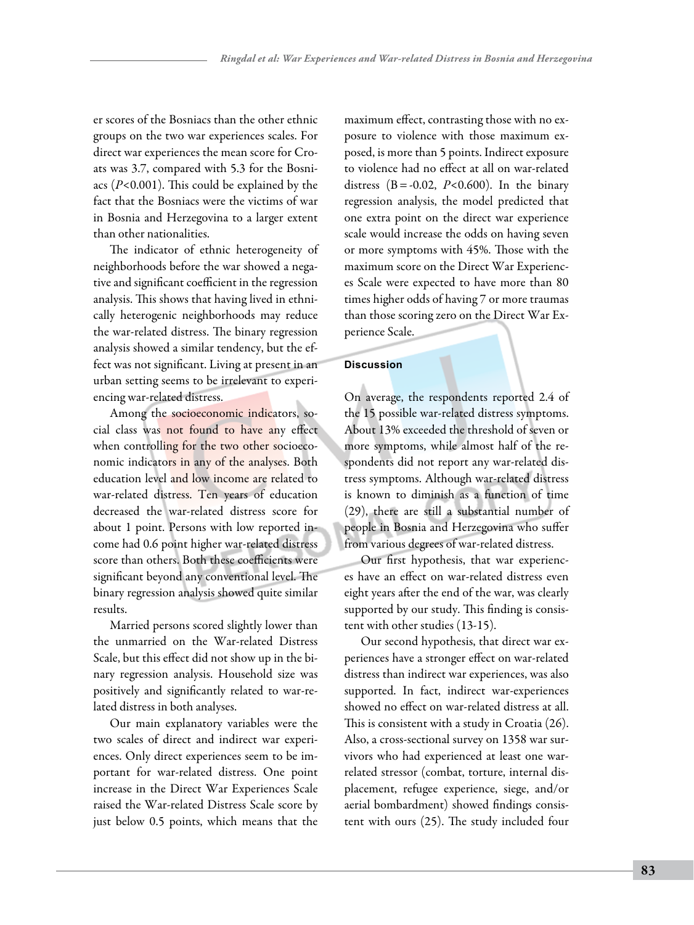er scores of the Bosniacs than the other ethnic groups on the two war experiences scales. For direct war experiences the mean score for Croats was 3.7, compared with 5.3 for the Bosniacs (*P*<0.001). This could be explained by the fact that the Bosniacs were the victims of war in Bosnia and Herzegovina to a larger extent than other nationalities.

The indicator of ethnic heterogeneity of neighborhoods before the war showed a negative and significant coefficient in the regression analysis. This shows that having lived in ethnically heterogenic neighborhoods may reduce the war-related distress. The binary regression analysis showed a similar tendency, but the effect was not significant. Living at present in an urban setting seems to be irrelevant to experiencing war-related distress.

Among the socioeconomic indicators, social class was not found to have any effect when controlling for the two other socioeconomic indicators in any of the analyses. Both education level and low income are related to war-related distress. Ten years of education decreased the war-related distress score for about 1 point. Persons with low reported income had 0.6 point higher war-related distress score than others. Both these coefficients were significant beyond any conventional level. The binary regression analysis showed quite similar results.

Married persons scored slightly lower than the unmarried on the War-related Distress Scale, but this effect did not show up in the binary regression analysis. Household size was positively and significantly related to war-related distress in both analyses.

Our main explanatory variables were the two scales of direct and indirect war experiences. Only direct experiences seem to be important for war-related distress. One point increase in the Direct War Experiences Scale raised the War-related Distress Scale score by just below 0.5 points, which means that the

maximum effect, contrasting those with no exposure to violence with those maximum exposed, is more than 5 points. Indirect exposure to violence had no effect at all on war-related distress  $(B = -0.02, P < 0.600)$ . In the binary regression analysis, the model predicted that one extra point on the direct war experience scale would increase the odds on having seven or more symptoms with 45%. Those with the maximum score on the Direct War Experiences Scale were expected to have more than 80 times higher odds of having 7 or more traumas than those scoring zero on the Direct War Experience Scale.

# **Discussion**

On average, the respondents reported 2.4 of the 15 possible war-related distress symptoms. About 13% exceeded the threshold of seven or more symptoms, while almost half of the respondents did not report any war-related distress symptoms. Although war-related distress is known to diminish as a function of time (29), there are still a substantial number of people in Bosnia and Herzegovina who suffer from various degrees of war-related distress.

Our first hypothesis, that war experiences have an effect on war-related distress even eight years after the end of the war, was clearly supported by our study. This finding is consistent with other studies (13-15).

Our second hypothesis, that direct war experiences have a stronger effect on war-related distress than indirect war experiences, was also supported. In fact, indirect war-experiences showed no effect on war-related distress at all. This is consistent with a study in Croatia (26). Also, a cross-sectional survey on 1358 war survivors who had experienced at least one warrelated stressor (combat, torture, internal displacement, refugee experience, siege, and/or aerial bombardment) showed findings consistent with ours (25). The study included four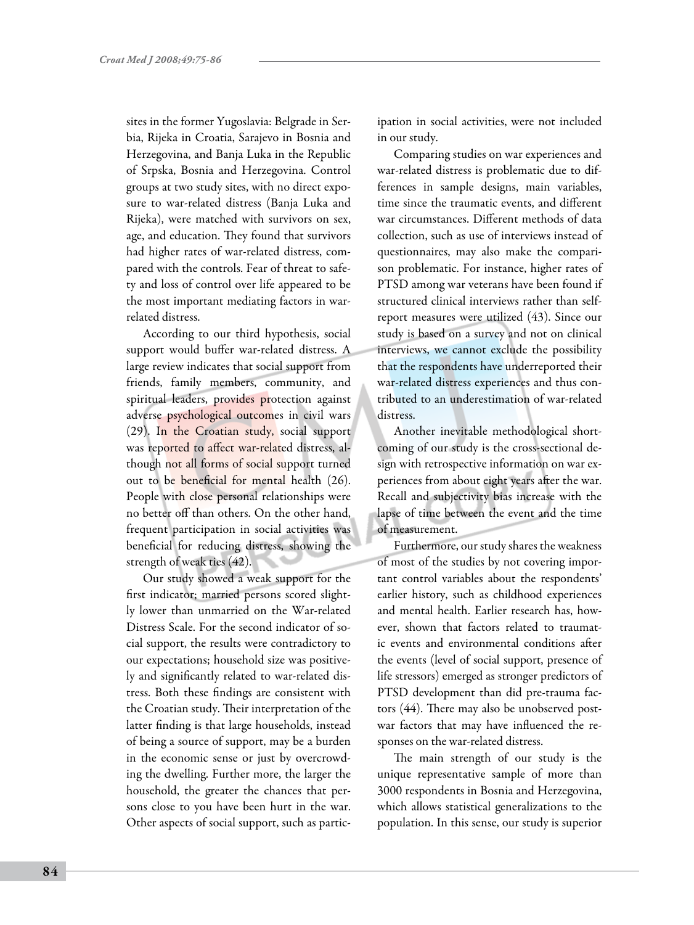sites in the former Yugoslavia: Belgrade in Serbia, Rijeka in Croatia, Sarajevo in Bosnia and Herzegovina, and Banja Luka in the Republic of Srpska, Bosnia and Herzegovina. Control groups at two study sites, with no direct exposure to war-related distress (Banja Luka and Rijeka), were matched with survivors on sex, age, and education. They found that survivors had higher rates of war-related distress, compared with the controls. Fear of threat to safety and loss of control over life appeared to be the most important mediating factors in warrelated distress.

According to our third hypothesis, social support would buffer war-related distress. A large review indicates that social support from friends, family members, community, and spiritual leaders, provides protection against adverse psychological outcomes in civil wars (29). In the Croatian study, social support was reported to affect war-related distress, although not all forms of social support turned out to be beneficial for mental health (26). People with close personal relationships were no better off than others. On the other hand, frequent participation in social activities was beneficial for reducing distress, showing the strength of weak ties (42).

Our study showed a weak support for the first indicator; married persons scored slightly lower than unmarried on the War-related Distress Scale. For the second indicator of social support, the results were contradictory to our expectations; household size was positively and significantly related to war-related distress. Both these findings are consistent with the Croatian study. Their interpretation of the latter finding is that large households, instead of being a source of support, may be a burden in the economic sense or just by overcrowding the dwelling. Further more, the larger the household, the greater the chances that persons close to you have been hurt in the war. Other aspects of social support, such as participation in social activities, were not included in our study.

Comparing studies on war experiences and war-related distress is problematic due to differences in sample designs, main variables, time since the traumatic events, and different war circumstances. Different methods of data collection, such as use of interviews instead of questionnaires, may also make the comparison problematic. For instance, higher rates of PTSD among war veterans have been found if structured clinical interviews rather than selfreport measures were utilized (43). Since our study is based on a survey and not on clinical interviews, we cannot exclude the possibility that the respondents have underreported their war-related distress experiences and thus contributed to an underestimation of war-related distress.

Another inevitable methodological shortcoming of our study is the cross-sectional design with retrospective information on war experiences from about eight years after the war. Recall and subjectivity bias increase with the lapse of time between the event and the time of measurement.

Furthermore, our study shares the weakness of most of the studies by not covering important control variables about the respondents' earlier history, such as childhood experiences and mental health. Earlier research has, however, shown that factors related to traumatic events and environmental conditions after the events (level of social support, presence of life stressors) emerged as stronger predictors of PTSD development than did pre-trauma factors (44). There may also be unobserved postwar factors that may have influenced the responses on the war-related distress.

The main strength of our study is the unique representative sample of more than 3000 respondents in Bosnia and Herzegovina, which allows statistical generalizations to the population. In this sense, our study is superior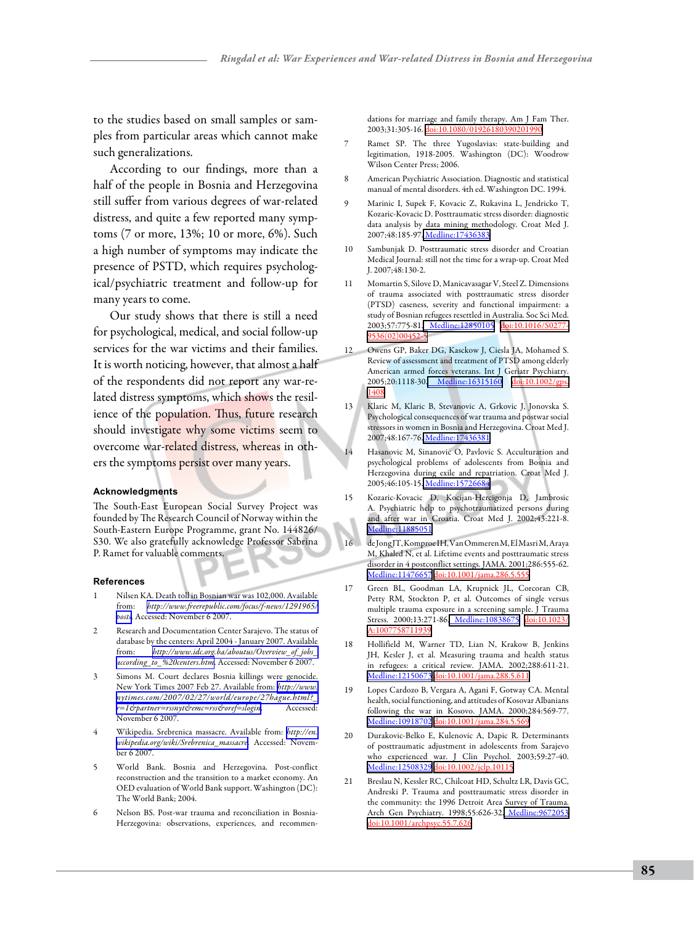to the studies based on small samples or samples from particular areas which cannot make such generalizations.

According to our findings, more than a half of the people in Bosnia and Herzegovina still suffer from various degrees of war-related distress, and quite a few reported many symptoms (7 or more, 13%; 10 or more, 6%). Such a high number of symptoms may indicate the presence of PSTD, which requires psychological/psychiatric treatment and follow-up for many years to come.

Our study shows that there is still a need for psychological, medical, and social follow-up services for the war victims and their families. It is worth noticing, however, that almost a half of the respondents did not report any war-related distress symptoms, which shows the resilience of the population. Thus, future research should investigate why some victims seem to overcome war-related distress, whereas in others the symptoms persist over many years.

#### **Acknowledgments**

The South-East European Social Survey Project was founded by The Research Council of Norway within the South-Eastern Europe Programme, grant No. 144826/ S30. We also gratefully acknowledge Professor Sabrina P. Ramet for valuable comments.

#### **References**

- 1 Nilsen KA. Death toll in Bosnian war was 102,000. Available from: *[http://www.freerepublic.com/focus/f-news/1291965/](http://www.freerepublic.com/focus/f-news/1291965/posts) [posts](http://www.freerepublic.com/focus/f-news/1291965/posts)*. Accessed: November 6 2007.
- Research and Documentation Center Sarajevo. The status of database by the centers: April 2004 - January 2007. Available from: *[http://www.idc.org.ba/aboutus/Overview\\_of\\_jobs\\_](http://www.idc.org.ba/aboutus/Overview_of_jobs_according_to_%20centers.htm) [according\\_to\\_%20centers.htm](http://www.idc.org.ba/aboutus/Overview_of_jobs_according_to_%20centers.htm)*. Accessed: November 6 2007.
- Simons M. Court declares Bosnia killings were genocide. New York Times 2007 Feb 27. Available from: *[http://www.](http://www.nytimes.com/2007/02/27/world/europe/27hague.html?_r=1&partner=rssnyt&emc=rss&oref=slogin) [nytimes.com/2007/02/27/world/europe/27hague.html?\\_](http://www.nytimes.com/2007/02/27/world/europe/27hague.html?_r=1&partner=rssnyt&emc=rss&oref=slogin) [r=1&partner=rssnyt&emc=rss&oref=slogin](http://www.nytimes.com/2007/02/27/world/europe/27hague.html?_r=1&partner=rssnyt&emc=rss&oref=slogin)*. Accessed: November 6 2007.
- 4 Wikipedia. Srebrenica massacre. Available from: *[http://en.](http://en.wikipedia.org/wiki/Srebrenica_massacre)  [wikipedia.org/wiki/Srebrenica\\_massacre](http://en.wikipedia.org/wiki/Srebrenica_massacre)*. Accessed: November 6 2007.
- 5 World Bank. Bosnia and Herzegovina. Post-conflict reconstruction and the transition to a market economy. An OED evaluation of World Bank support. Washington (DC): The World Bank; 2004.
- Nelson BS. Post-war trauma and reconciliation in Bosnia-Herzegovina: observations, experiences, and recommen-

dations for marriage and family therapy. Am J Fam Ther. 2003;31:305-16. [doi:10.1080/01926180390201990](http://dx.doi.org/10.1080/01926180390201990)

- 7 Ramet SP. The three Yugoslavias: state-building and legitimation, 1918-2005. Washington (DC): Woodrow Wilson Center Press; 2006.
- 8 American Psychiatric Association. Diagnostic and statistical manual of mental disorders. 4th ed. Washington DC. 1994.
- 9 Marinic I, Supek F, Kovacic Z, Rukavina L, Jendricko T, Kozaric-Kovacic D. Posttraumatic stress disorder: diagnostic data analysis by data mining methodology. Croat Med J. 2007;48:185-97[. Medline:17436383](http://www.ncbi.nlm.nih.gov/sites/entrez?cmd=Retrieve&db=PubMed&list_uids=17436383&dopt=Abstrac)
- 10 Sambunjak D. Posttraumatic stress disorder and Croatian Medical Journal: still not the time for a wrap-up. Croat Med J. 2007;48:130-2.
- 11 Momartin S, Silove D, Manicavasagar V, Steel Z. Dimensions of trauma associated with posttraumatic stress disorder (PTSD) caseness, severity and functional impairment: a study of Bosnian refugees resettled in Australia. Soc Sci Med. 2003;57:775-81[. Medline:12850105](http://www.ncbi.nlm.nih.gov/sites/entrez?cmd=Retrieve&db=PubMed&list_uids=12850105&dopt=Abstrac) [doi:10.1016/S0277-](http://dx.doi.org/10.1016/S0277-9536(02)00452-5) [9536\(02\)00452-5](http://dx.doi.org/10.1016/S0277-9536(02)00452-5)
- 12 Owens GP, Baker DG, Kasckow J, Ciesla JA, Mohamed S. Review of assessment and treatment of PTSD among elderly American armed forces veterans. Int J Geriatr Psychiatry. 2005;20:1118-30[. Medline:16315160](http://www.ncbi.nlm.nih.gov/sites/entrez?cmd=Retrieve&db=PubMed&list_uids=16315160&dopt=Abstrac) [doi:10.1002/gps.](http://dx.doi.org/10.1002/gps.1408) [1408](http://dx.doi.org/10.1002/gps.1408)
- 13 Klaric M, Klaric B, Stevanovic A, Grkovic J, Jonovska S. Psychological consequences of war trauma and postwar social stressors in women in Bosnia and Herzegovina. Croat Med J. 2007;48:167-76[. Medline:17436381](http://www.ncbi.nlm.nih.gov/sites/entrez?cmd=Retrieve&db=PubMed&list_uids=17436381&dopt=Abstrac)
- 14 Hasanovic M, Sinanovic O, Pavlovic S. Acculturation and psychological problems of adolescents from Bosnia and Herzegovina during exile and repatriation. Croat Med J. 2005;46:105-15[. Medline:15726684](http://www.ncbi.nlm.nih.gov/sites/entrez?cmd=Retrieve&db=PubMed&list_uids=15726684&dopt=Abstrac)
- 15 Kozaric-Kovacic D, Kocijan-Hercigonja D, Jambrosic A. Psychiatric help to psychotraumatized persons during and after war in Croatia. Croat Med J. 2002;43:221-8. [Medline:11885051](http://www.ncbi.nlm.nih.gov/sites/entrez?cmd=Retrieve&db=PubMed&list_uids=11885051&dopt=Abstrac)
- 16 de Jong JT, Komproe IH, Van Ommeren M, El Masri M, Araya M, Khaled N, et al. Lifetime events and posttraumatic stress disorder in 4 postconflict settings. JAMA. 2001;286:555-62. [Medline:11476657](http://www.ncbi.nlm.nih.gov/sites/entrez?cmd=Retrieve&db=PubMed&list_uids=11476657&dopt=Abstrac) [doi:10.1001/jama.286.5.555](http://dx.doi.org/10.1001/jama.286.5.555)
- 17 Green BL, Goodman LA, Krupnick JL, Corcoran CB, Petty RM, Stockton P, et al. Outcomes of single versus multiple trauma exposure in a screening sample. J Trauma Stress. 2000;13:271-86. [Medline:10838675](http://www.ncbi.nlm.nih.gov/sites/entrez?cmd=Retrieve&db=PubMed&list_uids=10838675&dopt=Abstrac) [doi:10.1023/](http://dx.doi.org/10.1023/A%3A1007758711939) [A:1007758711939](http://dx.doi.org/10.1023/A%3A1007758711939)
- 18 Hollifield M, Warner TD, Lian N, Krakow B, Jenkins JH, Kesler J, et al. Measuring trauma and health status in refugees: a critical review. JAMA. 2002;288:611-21. [Medline:12150673](http://www.ncbi.nlm.nih.gov/sites/entrez?cmd=Retrieve&db=PubMed&list_uids=12150673&dopt=Abstrac) [doi:10.1001/jama.288.5.611](http://dx.doi.org/10.1001/jama.288.5.611)
- 19 Lopes Cardozo B, Vergara A, Agani F, Gotway CA. Mental health, social functioning, and attitudes of Kosovar Albanians following the war in Kosovo. JAMA. 2000;284:569-77. [Medline:10918702](http://www.ncbi.nlm.nih.gov/sites/entrez?cmd=Retrieve&db=PubMed&list_uids=10918702&dopt=Abstrac) [doi:10.1001/jama.284.5.569](http://dx.doi.org/10.1001/jama.284.5.569)
- 20 Durakovic-Belko E, Kulenovic A, Dapic R. Determinants of posttraumatic adjustment in adolescents from Sarajevo who experienced war. J Clin Psychol. 2003;59:27-40. [Medline:12508329](http://www.ncbi.nlm.nih.gov/sites/entrez?cmd=Retrieve&db=PubMed&list_uids=12508329&dopt=Abstrac) [doi:10.1002/jclp.10115](http://dx.doi.org/10.1002/jclp.10115)
- 21 Breslau N, Kessler RC, Chilcoat HD, Schultz LR, Davis GC, Andreski P. Trauma and posttraumatic stress disorder in the community: the 1996 Detroit Area Survey of Trauma. Arch Gen Psychiatry. 1998;55:626-32. [Medline:9672053](http://www.ncbi.nlm.nih.gov/sites/entrez?cmd=Retrieve&db=PubMed&list_uids=9672053&dopt=Abstrac) [doi:10.1001/archpsyc.55.7.626](http://dx.doi.org/10.1001/archpsyc.55.7.626)